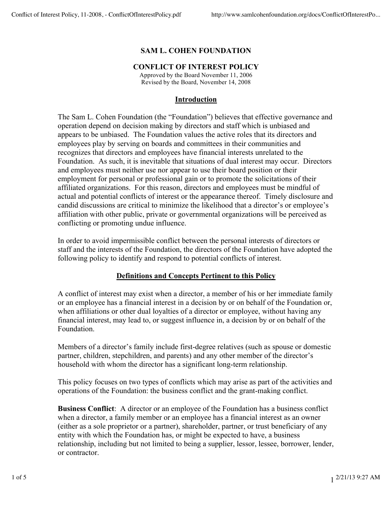# **SAM L. COHEN FOUNDATION**

#### **CONFLICT OF INTEREST POLICY**

Approved by the Board November 11, 2006 Revised by the Board, November 14, 2008

### **Introduction**

The Sam L. Cohen Foundation (the "Foundation") believes that effective governance and operation depend on decision making by directors and staff which is unbiased and appears to be unbiased. The Foundation values the active roles that its directors and employees play by serving on boards and committees in their communities and recognizes that directors and employees have financial interests unrelated to the Foundation. As such, it is inevitable that situations of dual interest may occur. Directors and employees must neither use nor appear to use their board position or their employment for personal or professional gain or to promote the solicitations of their affiliated organizations. For this reason, directors and employees must be mindful of actual and potential conflicts of interest or the appearance thereof. Timely disclosure and candid discussions are critical to minimize the likelihood that a director's or employee's affiliation with other public, private or governmental organizations will be perceived as conflicting or promoting undue influence.

In order to avoid impermissible conflict between the personal interests of directors or staff and the interests of the Foundation, the directors of the Foundation have adopted the following policy to identify and respond to potential conflicts of interest.

#### **Definitions and Concepts Pertinent to this Policy**

A conflict of interest may exist when a director, a member of his or her immediate family or an employee has a financial interest in a decision by or on behalf of the Foundation or, when affiliations or other dual loyalties of a director or employee, without having any financial interest, may lead to, or suggest influence in, a decision by or on behalf of the Foundation.

Members of a director's family include first-degree relatives (such as spouse or domestic partner, children, stepchildren, and parents) and any other member of the director's household with whom the director has a significant long-term relationship.

This policy focuses on two types of conflicts which may arise as part of the activities and operations of the Foundation: the business conflict and the grant-making conflict.

**Business Conflict**: A director or an employee of the Foundation has a business conflict when a director, a family member or an employee has a financial interest as an owner (either as a sole proprietor or a partner), shareholder, partner, or trust beneficiary of any entity with which the Foundation has, or might be expected to have, a business relationship, including but not limited to being a supplier, lessor, lessee, borrower, lender, or contractor.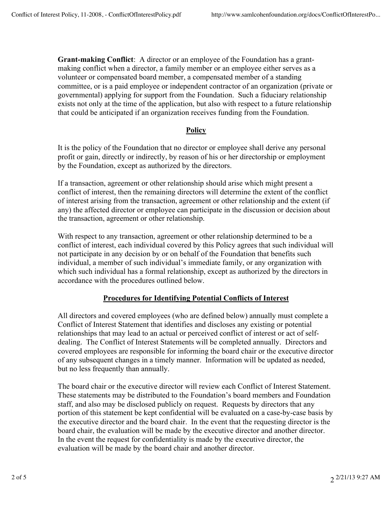**Grant-making Conflict**: A director or an employee of the Foundation has a grantmaking conflict when a director, a family member or an employee either serves as a volunteer or compensated board member, a compensated member of a standing committee, or is a paid employee or independent contractor of an organization (private or governmental) applying for support from the Foundation. Such a fiduciary relationship exists not only at the time of the application, but also with respect to a future relationship that could be anticipated if an organization receives funding from the Foundation.

# **Policy**

It is the policy of the Foundation that no director or employee shall derive any personal profit or gain, directly or indirectly, by reason of his or her directorship or employment by the Foundation, except as authorized by the directors.

If a transaction, agreement or other relationship should arise which might present a conflict of interest, then the remaining directors will determine the extent of the conflict of interest arising from the transaction, agreement or other relationship and the extent (if any) the affected director or employee can participate in the discussion or decision about the transaction, agreement or other relationship.

With respect to any transaction, agreement or other relationship determined to be a conflict of interest, each individual covered by this Policy agrees that such individual will not participate in any decision by or on behalf of the Foundation that benefits such individual, a member of such individual's immediate family, or any organization with which such individual has a formal relationship, except as authorized by the directors in accordance with the procedures outlined below.

# **Procedures for Identifying Potential Conflicts of Interest**

All directors and covered employees (who are defined below) annually must complete a Conflict of Interest Statement that identifies and discloses any existing or potential relationships that may lead to an actual or perceived conflict of interest or act of selfdealing. The Conflict of Interest Statements will be completed annually. Directors and covered employees are responsible for informing the board chair or the executive director of any subsequent changes in a timely manner. Information will be updated as needed, but no less frequently than annually.

The board chair or the executive director will review each Conflict of Interest Statement. These statements may be distributed to the Foundation's board members and Foundation staff, and also may be disclosed publicly on request. Requests by directors that any portion of this statement be kept confidential will be evaluated on a case-by-case basis by the executive director and the board chair. In the event that the requesting director is the board chair, the evaluation will be made by the executive director and another director. In the event the request for confidentiality is made by the executive director, the evaluation will be made by the board chair and another director.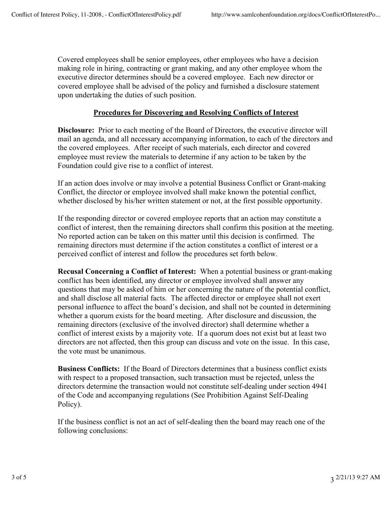Covered employees shall be senior employees, other employees who have a decision making role in hiring, contracting or grant making, and any other employee whom the executive director determines should be a covered employee. Each new director or covered employee shall be advised of the policy and furnished a disclosure statement upon undertaking the duties of such position.

### **Procedures for Discovering and Resolving Conflicts of Interest**

**Disclosure:** Prior to each meeting of the Board of Directors, the executive director will mail an agenda, and all necessary accompanying information, to each of the directors and the covered employees. After receipt of such materials, each director and covered employee must review the materials to determine if any action to be taken by the Foundation could give rise to a conflict of interest.

If an action does involve or may involve a potential Business Conflict or Grant-making Conflict, the director or employee involved shall make known the potential conflict, whether disclosed by his/her written statement or not, at the first possible opportunity.

If the responding director or covered employee reports that an action may constitute a conflict of interest, then the remaining directors shall confirm this position at the meeting. No reported action can be taken on this matter until this decision is confirmed. The remaining directors must determine if the action constitutes a conflict of interest or a perceived conflict of interest and follow the procedures set forth below.

**Recusal Concerning a Conflict of Interest:** When a potential business or grant-making conflict has been identified, any director or employee involved shall answer any questions that may be asked of him or her concerning the nature of the potential conflict, and shall disclose all material facts. The affected director or employee shall not exert personal influence to affect the board's decision, and shall not be counted in determining whether a quorum exists for the board meeting. After disclosure and discussion, the remaining directors (exclusive of the involved director) shall determine whether a conflict of interest exists by a majority vote. If a quorum does not exist but at least two directors are not affected, then this group can discuss and vote on the issue. In this case, the vote must be unanimous.

**Business Conflicts:** If the Board of Directors determines that a business conflict exists with respect to a proposed transaction, such transaction must be rejected, unless the directors determine the transaction would not constitute self-dealing under section 4941 of the Code and accompanying regulations (See Prohibition Against Self-Dealing Policy).

If the business conflict is not an act of self-dealing then the board may reach one of the following conclusions: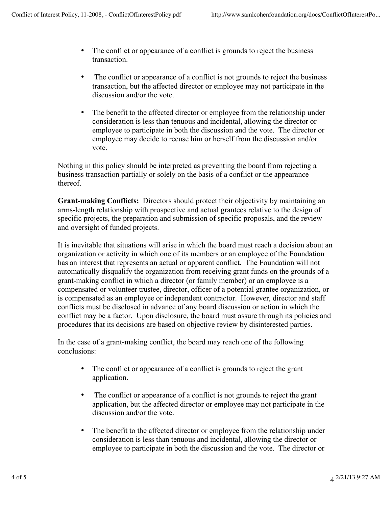- The conflict or appearance of a conflict is grounds to reject the business transaction.
- The conflict or appearance of a conflict is not grounds to reject the business transaction, but the affected director or employee may not participate in the discussion and/or the vote.
- The benefit to the affected director or employee from the relationship under consideration is less than tenuous and incidental, allowing the director or employee to participate in both the discussion and the vote. The director or employee may decide to recuse him or herself from the discussion and/or vote.

Nothing in this policy should be interpreted as preventing the board from rejecting a business transaction partially or solely on the basis of a conflict or the appearance thereof.

**Grant-making Conflicts:** Directors should protect their objectivity by maintaining an arms-length relationship with prospective and actual grantees relative to the design of specific projects, the preparation and submission of specific proposals, and the review and oversight of funded projects.

It is inevitable that situations will arise in which the board must reach a decision about an organization or activity in which one of its members or an employee of the Foundation has an interest that represents an actual or apparent conflict. The Foundation will not automatically disqualify the organization from receiving grant funds on the grounds of a grant-making conflict in which a director (or family member) or an employee is a compensated or volunteer trustee, director, officer of a potential grantee organization, or is compensated as an employee or independent contractor. However, director and staff conflicts must be disclosed in advance of any board discussion or action in which the conflict may be a factor. Upon disclosure, the board must assure through its policies and procedures that its decisions are based on objective review by disinterested parties.

In the case of a grant-making conflict, the board may reach one of the following conclusions:

- The conflict or appearance of a conflict is grounds to reject the grant application.
- The conflict or appearance of a conflict is not grounds to reject the grant application, but the affected director or employee may not participate in the discussion and/or the vote.
- The benefit to the affected director or employee from the relationship under consideration is less than tenuous and incidental, allowing the director or employee to participate in both the discussion and the vote. The director or